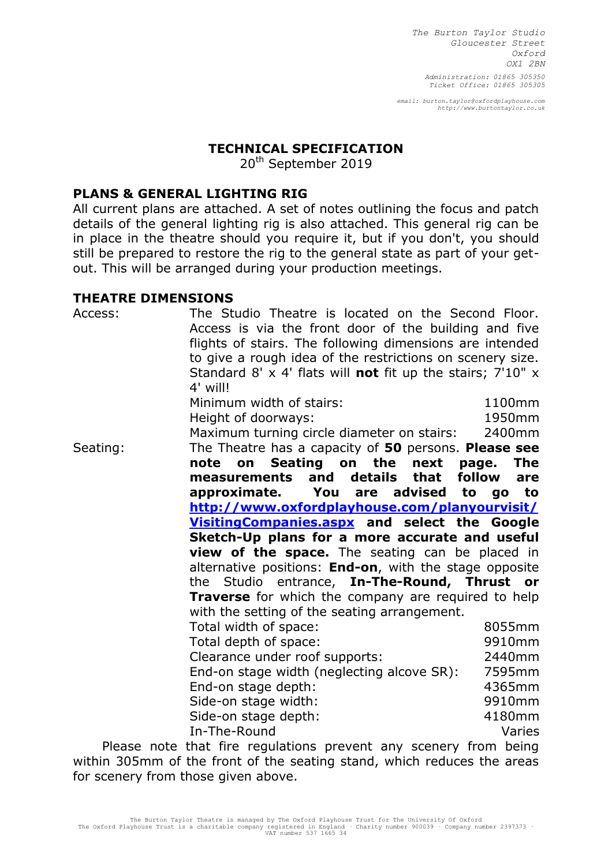*The Burton Taylor Studio Gloucester Street Oxford OX1 2BN Administration: 01865 305350 Ticket Office: 01865 305305*

*email: burton.taylor@oxfordplayhouse.com http://www.burtontaylor.co.uk*

#### **TECHNICAL SPECIFICATION**

20<sup>th</sup> September 2019

#### **PLANS & GENERAL LIGHTING RIG**

All current plans are attached. A set of notes outlining the focus and patch details of the general lighting rig is also attached. This general rig can be in place in the theatre should you require it, but if you don't, you should still be prepared to restore the rig to the general state as part of your getout. This will be arranged during your production meetings.

#### **THEATRE DIMENSIONS**

| Access:  | The Studio Theatre is located on the Second Floor.<br>Access is via the front door of the building and five<br>flights of stairs. The following dimensions are intended<br>to give a rough idea of the restrictions on scenery size.<br>Standard 8' x 4' flats will not fit up the stairs; 7'10" x<br>4' will! |                  |
|----------|----------------------------------------------------------------------------------------------------------------------------------------------------------------------------------------------------------------------------------------------------------------------------------------------------------------|------------------|
|          | Minimum width of stairs:                                                                                                                                                                                                                                                                                       | 1100mm           |
|          | Height of doorways:                                                                                                                                                                                                                                                                                            | 1950mm           |
|          | Maximum turning circle diameter on stairs:                                                                                                                                                                                                                                                                     | 2400mm           |
| Seating: | The Theatre has a capacity of 50 persons. Please see                                                                                                                                                                                                                                                           |                  |
|          | Seating on the next<br>note<br>on                                                                                                                                                                                                                                                                              | The<br>page.     |
|          | and<br>details that<br>measurements                                                                                                                                                                                                                                                                            | follow<br>are    |
|          | are advised<br>approximate. You<br>to                                                                                                                                                                                                                                                                          | to<br>go         |
|          | http://www.oxfordplayhouse.com/planyourvisit/                                                                                                                                                                                                                                                                  |                  |
|          | Visiting Companies.aspx and select the Google                                                                                                                                                                                                                                                                  |                  |
|          | Sketch-Up plans for a more accurate and useful                                                                                                                                                                                                                                                                 |                  |
|          | <b>view of the space.</b> The seating can be placed in                                                                                                                                                                                                                                                         |                  |
|          | alternative positions: <b>End-on</b> , with the stage opposite                                                                                                                                                                                                                                                 |                  |
|          | the Studio entrance, In-The-Round, Thrust                                                                                                                                                                                                                                                                      | <b>or</b>        |
|          | <b>Traverse</b> for which the company are required to help                                                                                                                                                                                                                                                     |                  |
|          | with the setting of the seating arrangement.                                                                                                                                                                                                                                                                   |                  |
|          | Total width of space:                                                                                                                                                                                                                                                                                          | 8055mm           |
|          | Total depth of space:                                                                                                                                                                                                                                                                                          | 9910mm           |
|          | Clearance under roof supports:                                                                                                                                                                                                                                                                                 | 2440mm           |
|          | End-on stage width (neglecting alcove SR):                                                                                                                                                                                                                                                                     | 7595mm<br>4365mm |
|          | End-on stage depth:<br>Side-on stage width:                                                                                                                                                                                                                                                                    | 9910mm           |
|          |                                                                                                                                                                                                                                                                                                                | 4180mm           |
|          | Side-on stage depth:<br>In-The-Round                                                                                                                                                                                                                                                                           | Varies           |
|          | <b>Contract Contract Contract Contract</b>                                                                                                                                                                                                                                                                     |                  |

Please note that fire regulations prevent any scenery from being within 305mm of the front of the seating stand, which reduces the areas for scenery from those given above.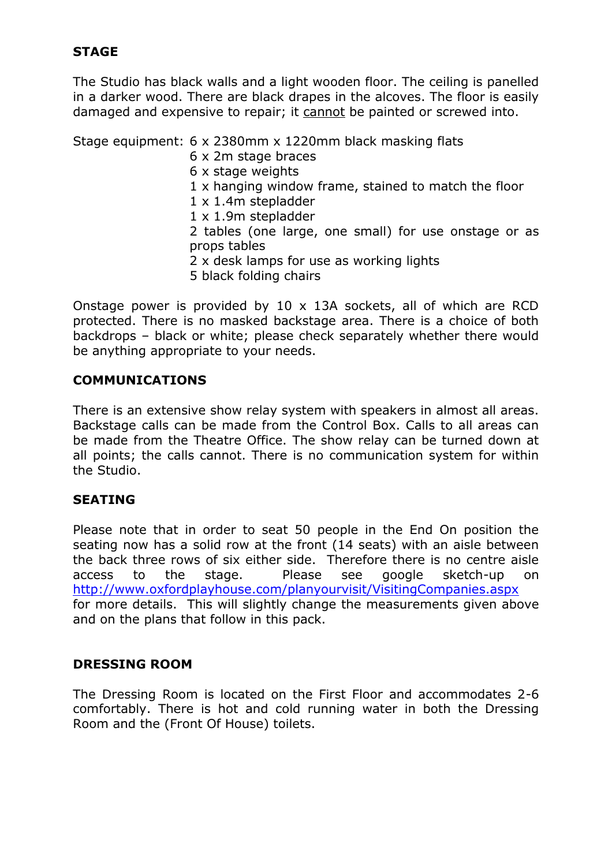# **STAGE**

The Studio has black walls and a light wooden floor. The ceiling is panelled in a darker wood. There are black drapes in the alcoves. The floor is easily damaged and expensive to repair; it cannot be painted or screwed into.

Stage equipment: 6 x 2380mm x 1220mm black masking flats

- 6 x 2m stage braces
- 6 x stage weights
- 1 x hanging window frame, stained to match the floor
- 1 x 1.4m stepladder
- 1 x 1.9m stepladder
- 2 tables (one large, one small) for use onstage or as props tables
- 2 x desk lamps for use as working lights
- 5 black folding chairs

Onstage power is provided by 10 x 13A sockets, all of which are RCD protected. There is no masked backstage area. There is a choice of both backdrops – black or white; please check separately whether there would be anything appropriate to your needs.

### **COMMUNICATIONS**

There is an extensive show relay system with speakers in almost all areas. Backstage calls can be made from the Control Box. Calls to all areas can be made from the Theatre Office. The show relay can be turned down at all points; the calls cannot. There is no communication system for within the Studio.

#### **SEATING**

Please note that in order to seat 50 people in the End On position the seating now has a solid row at the front (14 seats) with an aisle between the back three rows of six either side. Therefore there is no centre aisle access to the stage. Please see google sketch-up on <http://www.oxfordplayhouse.com/planyourvisit/VisitingCompanies.aspx> for more details. This will slightly change the measurements given above and on the plans that follow in this pack.

#### **DRESSING ROOM**

The Dressing Room is located on the First Floor and accommodates 2-6 comfortably. There is hot and cold running water in both the Dressing Room and the (Front Of House) toilets.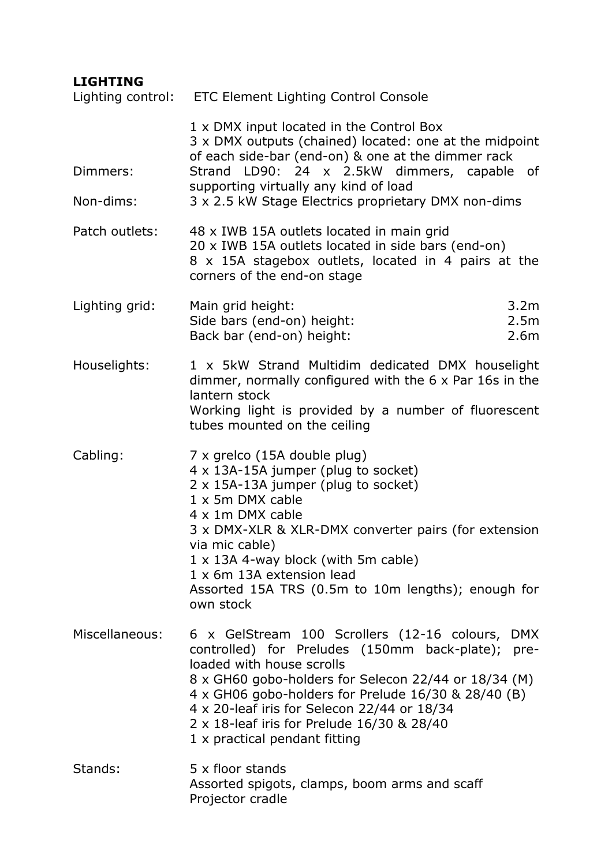# **LIGHTING**

|                       | Lighting control: ETC Element Lighting Control Console                                                                                                                                                                                                                                                                                                                         |
|-----------------------|--------------------------------------------------------------------------------------------------------------------------------------------------------------------------------------------------------------------------------------------------------------------------------------------------------------------------------------------------------------------------------|
| Dimmers:<br>Non-dims: | 1 x DMX input located in the Control Box<br>3 x DMX outputs (chained) located: one at the midpoint<br>of each side-bar (end-on) & one at the dimmer rack<br>Strand LD90: 24 x 2.5kW dimmers, capable<br>of<br>supporting virtually any kind of load<br>3 x 2.5 kW Stage Electrics proprietary DMX non-dims                                                                     |
| Patch outlets:        | 48 x IWB 15A outlets located in main grid<br>20 x IWB 15A outlets located in side bars (end-on)<br>8 x 15A stagebox outlets, located in 4 pairs at the<br>corners of the end-on stage                                                                                                                                                                                          |
| Lighting grid:        | Main grid height:<br>3.2 <sub>m</sub><br>Side bars (end-on) height:<br>2.5m<br>Back bar (end-on) height:<br>2.6 <sub>m</sub>                                                                                                                                                                                                                                                   |
| Houselights:          | 1 x 5kW Strand Multidim dedicated DMX houselight<br>dimmer, normally configured with the 6 x Par 16s in the<br>lantern stock<br>Working light is provided by a number of fluorescent<br>tubes mounted on the ceiling                                                                                                                                                           |
| Cabling:              | 7 x grelco (15A double plug)<br>4 x 13A-15A jumper (plug to socket)<br>2 x 15A-13A jumper (plug to socket)<br>1 x 5m DMX cable<br>4 x 1m DMX cable<br>3 x DMX-XLR & XLR-DMX converter pairs (for extension<br>via mic cable)<br>$1 \times 13A$ 4-way block (with 5m cable)<br>1 x 6m 13A extension lead<br>Assorted 15A TRS (0.5m to 10m lengths); enough for<br>own stock     |
| Miscellaneous:        | 6 x GelStream 100 Scrollers (12-16 colours, DMX<br>controlled) for Preludes (150mm back-plate); pre-<br>loaded with house scrolls<br>8 x GH60 gobo-holders for Selecon 22/44 or 18/34 (M)<br>4 x GH06 gobo-holders for Prelude 16/30 & 28/40 (B)<br>4 x 20-leaf iris for Selecon 22/44 or 18/34<br>2 x 18-leaf iris for Prelude 16/30 & 28/40<br>1 x practical pendant fitting |
| Stands:               | 5 x floor stands<br>Assorted spigots, clamps, boom arms and scaff<br>Projector cradle                                                                                                                                                                                                                                                                                          |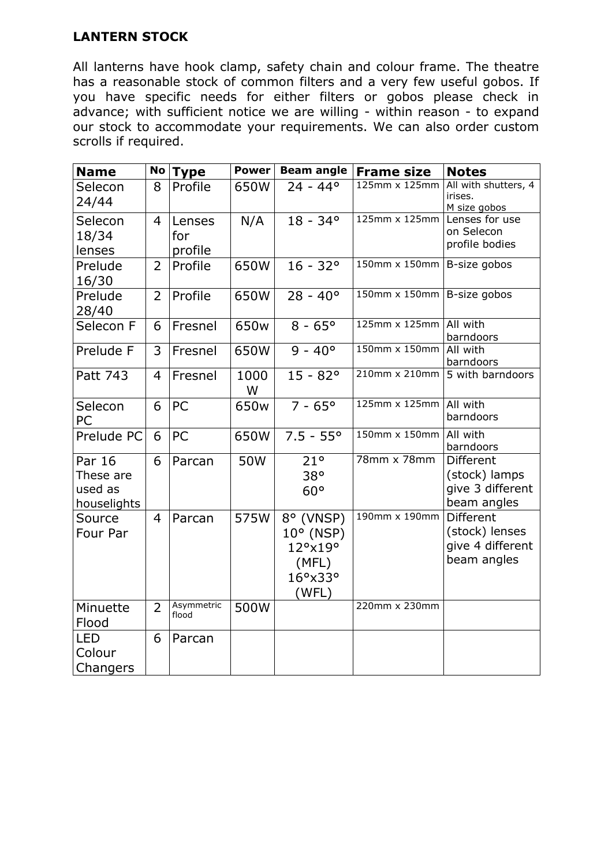# **LANTERN STOCK**

All lanterns have hook clamp, safety chain and colour frame. The theatre has a reasonable stock of common filters and a very few useful gobos. If you have specific needs for either filters or gobos please check in advance; with sufficient notice we are willing - within reason - to expand our stock to accommodate your requirements. We can also order custom scrolls if required.

| <b>Name</b>                                   | No <sub>1</sub> | <b>Type</b>              | <b>Power</b> | <b>Beam angle</b>                                                       | <b>Frame size</b>    | <b>Notes</b>                                                          |
|-----------------------------------------------|-----------------|--------------------------|--------------|-------------------------------------------------------------------------|----------------------|-----------------------------------------------------------------------|
| Selecon<br>24/44                              | 8               | Profile                  | 650W         | $24 - 44^{\circ}$                                                       | 125mm x 125mm        | All with shutters, 4<br>irises.<br>M size gobos                       |
| Selecon<br>18/34<br>lenses                    | 4               | Lenses<br>for<br>profile | N/A          | $18 - 34^{\circ}$                                                       | 125mm x 125mm        | Lenses for use<br>on Selecon<br>profile bodies                        |
| Prelude<br>16/30                              | $\overline{2}$  | Profile                  | 650W         | $16 - 32^{\circ}$                                                       | 150mm x 150mm        | B-size gobos                                                          |
| Prelude<br>28/40                              | 2               | Profile                  | 650W         | $28 - 40^{\circ}$                                                       | 150mm x 150mm        | B-size gobos                                                          |
| Selecon F                                     | 6               | Fresnel                  | 650w         | $8 - 65^{\circ}$                                                        | 125mm x 125mm        | All with<br>barndoors                                                 |
| Prelude F                                     | 3               | Fresnel                  | 650W         | $9 - 40^{\circ}$                                                        | 150mm x 150mm        | All with<br>barndoors                                                 |
| Patt 743                                      | 4               | Fresnel                  | 1000<br>W    | $15 - 82^{\circ}$                                                       | 210mm x 210mm        | 5 with barndoors                                                      |
| Selecon<br>PC                                 | 6               | PC                       | 650w         | $7 - 65^{\circ}$                                                        | $125mm \times 125mm$ | All with<br>barndoors                                                 |
| Prelude PC                                    | 6               | <b>PC</b>                | 650W         | $7.5 - 55^{\circ}$                                                      | 150mm x 150mm        | All with<br>barndoors                                                 |
| Par 16<br>These are<br>used as<br>houselights | 6               | Parcan                   | 50W          | 21°<br>38°<br>60°                                                       | 78mm x 78mm          | <b>Different</b><br>(stock) lamps<br>give 3 different<br>beam angles  |
| Source<br>Four Par                            | $\overline{4}$  | Parcan                   | 575W         | 8° (VNSP)<br>$10^{\circ}$ (NSP)<br>12°x19°<br>(MFL)<br>16°x33°<br>(WFL) | 190mm x 190mm        | <b>Different</b><br>(stock) lenses<br>give 4 different<br>beam angles |
| Minuette<br>Flood                             | $\overline{2}$  | Asymmetric<br>flood      | 500W         |                                                                         | 220mm x 230mm        |                                                                       |
| <b>LED</b><br>Colour<br>Changers              | 6               | Parcan                   |              |                                                                         |                      |                                                                       |